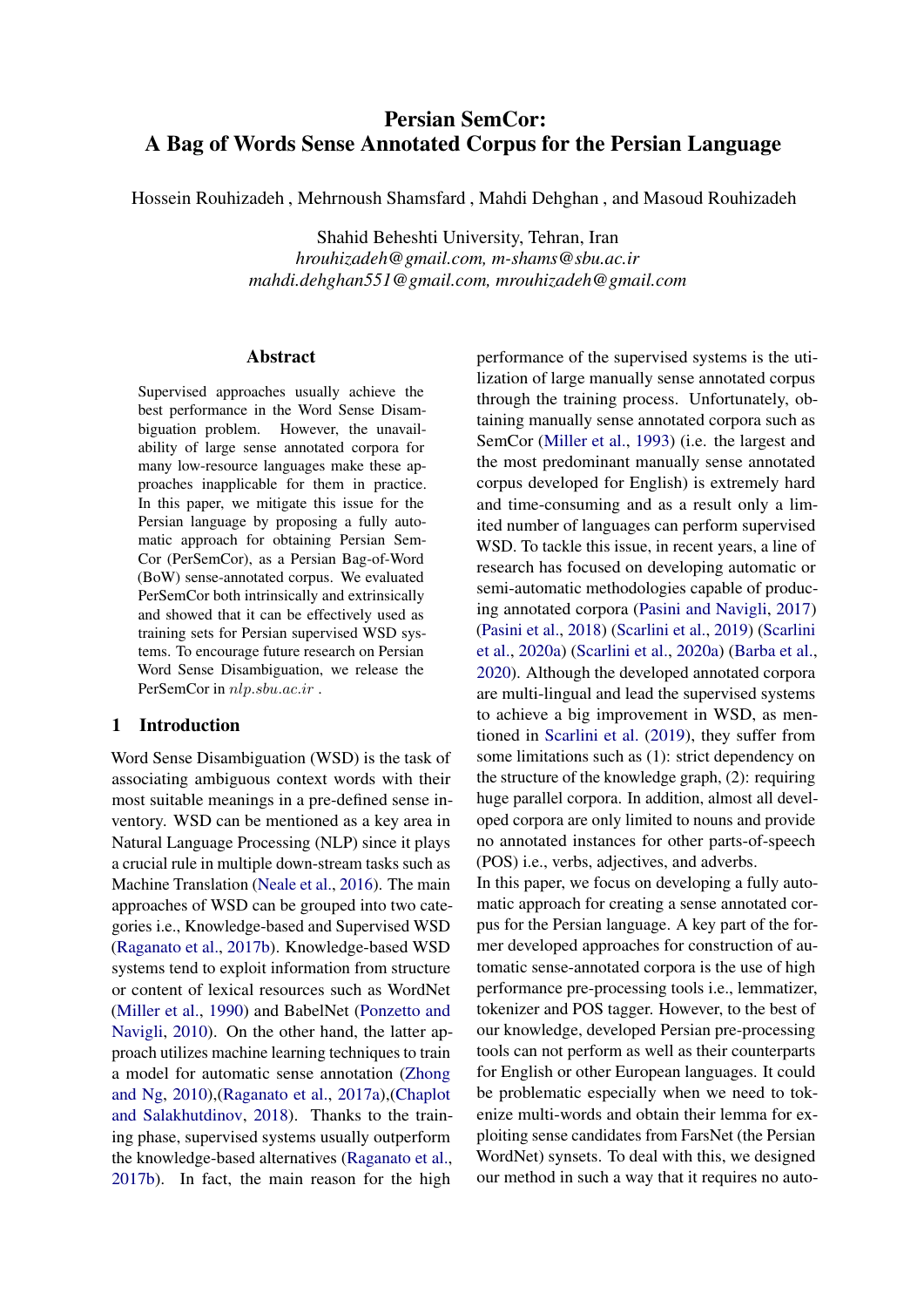# Persian SemCor: A Bag of Words Sense Annotated Corpus for the Persian Language

Hossein Rouhizadeh , Mehrnoush Shamsfard , Mahdi Dehghan , and Masoud Rouhizadeh

Shahid Beheshti University, Tehran, Iran *hrouhizadeh@gmail.com, m-shams@sbu.ac.ir mahdi.dehghan551@gmail.com, mrouhizadeh@gmail.com*

#### Abstract

Supervised approaches usually achieve the best performance in the Word Sense Disambiguation problem. However, the unavailability of large sense annotated corpora for many low-resource languages make these approaches inapplicable for them in practice. In this paper, we mitigate this issue for the Persian language by proposing a fully automatic approach for obtaining Persian Sem-Cor (PerSemCor), as a Persian Bag-of-Word (BoW) sense-annotated corpus. We evaluated PerSemCor both intrinsically and extrinsically and showed that it can be effectively used as training sets for Persian supervised WSD systems. To encourage future research on Persian Word Sense Disambiguation, we release the PerSemCor in  $nlp.show.ac.it$ .

#### 1 Introduction

Word Sense Disambiguation (WSD) is the task of associating ambiguous context words with their most suitable meanings in a pre-defined sense inventory. WSD can be mentioned as a key area in Natural Language Processing (NLP) since it plays a crucial rule in multiple down-stream tasks such as Machine Translation [\(Neale et al.,](#page-8-0) [2016\)](#page-8-0). The main approaches of WSD can be grouped into two categories i.e., Knowledge-based and Supervised WSD [\(Raganato et al.,](#page-8-1) [2017b\)](#page-8-1). Knowledge-based WSD systems tend to exploit information from structure or content of lexical resources such as WordNet [\(Miller et al.,](#page-8-2) [1990\)](#page-8-2) and BabelNet [\(Ponzetto and](#page-8-3) [Navigli,](#page-8-3) [2010\)](#page-8-3). On the other hand, the latter approach utilizes machine learning techniques to train a model for automatic sense annotation [\(Zhong](#page-9-0) [and Ng,](#page-9-0) [2010\)](#page-9-0),[\(Raganato et al.,](#page-8-4) [2017a\)](#page-8-4),[\(Chaplot](#page-8-5) [and Salakhutdinov,](#page-8-5) [2018\)](#page-8-5). Thanks to the training phase, supervised systems usually outperform the knowledge-based alternatives [\(Raganato et al.,](#page-8-1) [2017b\)](#page-8-1). In fact, the main reason for the high

performance of the supervised systems is the utilization of large manually sense annotated corpus through the training process. Unfortunately, obtaining manually sense annotated corpora such as SemCor [\(Miller et al.,](#page-8-6) [1993\)](#page-8-6) (i.e. the largest and the most predominant manually sense annotated corpus developed for English) is extremely hard and time-consuming and as a result only a limited number of languages can perform supervised WSD. To tackle this issue, in recent years, a line of research has focused on developing automatic or semi-automatic methodologies capable of producing annotated corpora [\(Pasini and Navigli,](#page-8-7) [2017\)](#page-8-7) [\(Pasini et al.,](#page-8-8) [2018\)](#page-8-8) [\(Scarlini et al.,](#page-9-1) [2019\)](#page-9-1) [\(Scarlini](#page-9-2) [et al.,](#page-9-2) [2020a\)](#page-9-2) [\(Scarlini et al.,](#page-9-2) [2020a\)](#page-9-2) [\(Barba et al.,](#page-7-0) [2020\)](#page-7-0). Although the developed annotated corpora are multi-lingual and lead the supervised systems to achieve a big improvement in WSD, as mentioned in [Scarlini et al.](#page-9-1) [\(2019\)](#page-9-1), they suffer from some limitations such as (1): strict dependency on the structure of the knowledge graph, (2): requiring huge parallel corpora. In addition, almost all developed corpora are only limited to nouns and provide no annotated instances for other parts-of-speech (POS) i.e., verbs, adjectives, and adverbs.

In this paper, we focus on developing a fully automatic approach for creating a sense annotated corpus for the Persian language. A key part of the former developed approaches for construction of automatic sense-annotated corpora is the use of high performance pre-processing tools i.e., lemmatizer, tokenizer and POS tagger. However, to the best of our knowledge, developed Persian pre-processing tools can not perform as well as their counterparts for English or other European languages. It could be problematic especially when we need to tokenize multi-words and obtain their lemma for exploiting sense candidates from FarsNet (the Persian WordNet) synsets. To deal with this, we designed our method in such a way that it requires no auto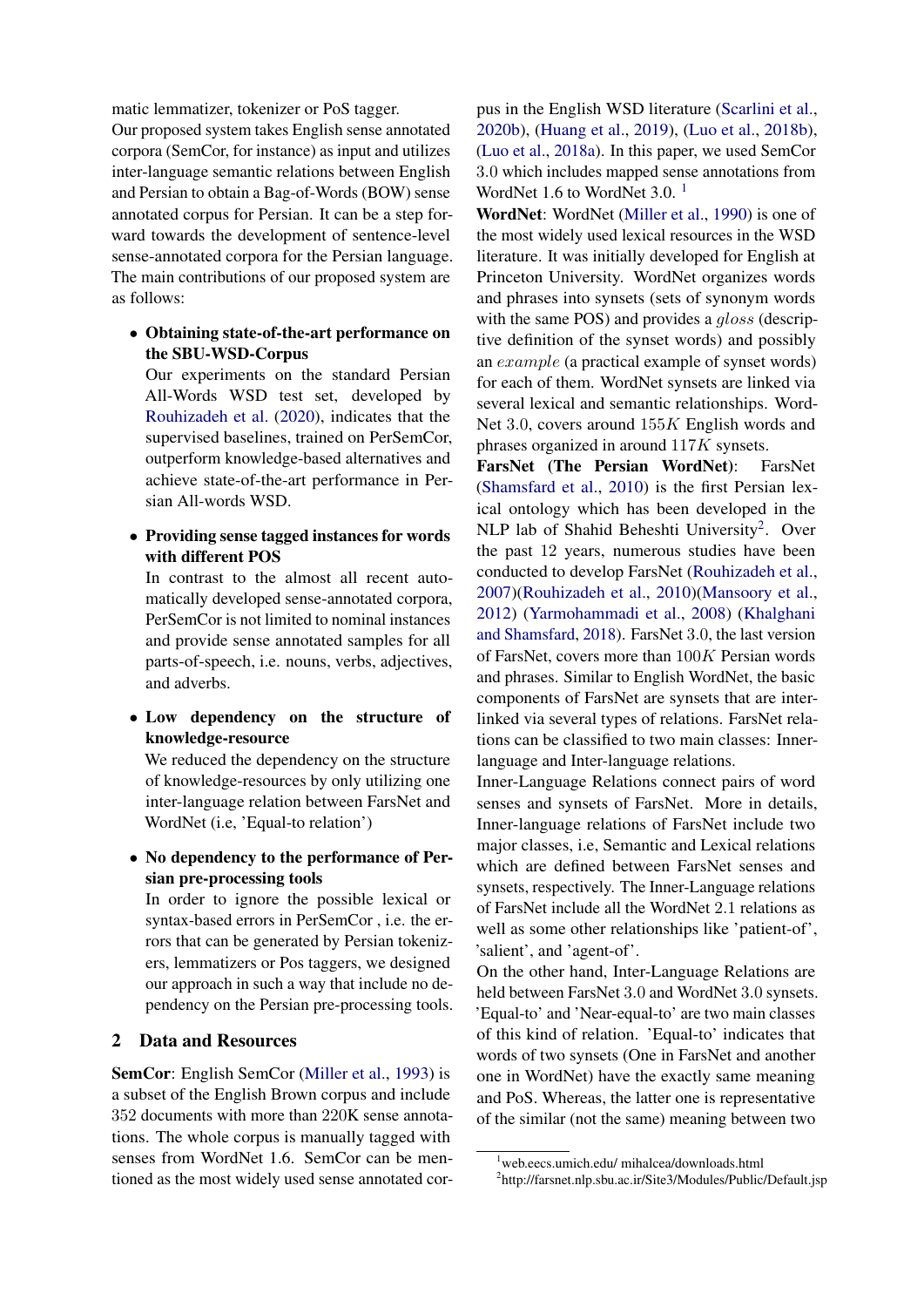matic lemmatizer, tokenizer or PoS tagger.

Our proposed system takes English sense annotated corpora (SemCor, for instance) as input and utilizes inter-language semantic relations between English and Persian to obtain a Bag-of-Words (BOW) sense annotated corpus for Persian. It can be a step forward towards the development of sentence-level sense-annotated corpora for the Persian language. The main contributions of our proposed system are as follows:

• Obtaining state-of-the-art performance on the SBU-WSD-Corpus

Our experiments on the standard Persian All-Words WSD test set, developed by [Rouhizadeh et al.](#page-9-3) [\(2020\)](#page-9-3), indicates that the supervised baselines, trained on PerSemCor, outperform knowledge-based alternatives and achieve state-of-the-art performance in Persian All-words WSD.

• Providing sense tagged instances for words with different POS

In contrast to the almost all recent automatically developed sense-annotated corpora, PerSemCor is not limited to nominal instances and provide sense annotated samples for all parts-of-speech, i.e. nouns, verbs, adjectives, and adverbs.

• Low dependency on the structure of knowledge-resource

We reduced the dependency on the structure of knowledge-resources by only utilizing one inter-language relation between FarsNet and WordNet (i.e, 'Equal-to relation')

• No dependency to the performance of Persian pre-processing tools

In order to ignore the possible lexical or syntax-based errors in PerSemCor , i.e. the errors that can be generated by Persian tokenizers, lemmatizers or Pos taggers, we designed our approach in such a way that include no dependency on the Persian pre-processing tools.

## <span id="page-1-2"></span>2 Data and Resources

SemCor: English SemCor [\(Miller et al.,](#page-8-6) [1993\)](#page-8-6) is a subset of the English Brown corpus and include 352 documents with more than 220K sense annotations. The whole corpus is manually tagged with senses from WordNet 1.6. SemCor can be mentioned as the most widely used sense annotated corpus in the English WSD literature [\(Scarlini et al.,](#page-9-4) [2020b\)](#page-9-4), [\(Huang et al.,](#page-8-9) [2019\)](#page-8-9), [\(Luo et al.,](#page-8-10) [2018b\)](#page-8-10), [\(Luo et al.,](#page-8-11) [2018a\)](#page-8-11). In this paper, we used SemCor 3.0 which includes mapped sense annotations from WordNet [1](#page-1-0).6 to WordNet 3.0.<sup>1</sup>

WordNet: WordNet [\(Miller et al.,](#page-8-2) [1990\)](#page-8-2) is one of the most widely used lexical resources in the WSD literature. It was initially developed for English at Princeton University. WordNet organizes words and phrases into synsets (sets of synonym words with the same POS) and provides a *gloss* (descriptive definition of the synset words) and possibly an example (a practical example of synset words) for each of them. WordNet synsets are linked via several lexical and semantic relationships. Word-Net 3.0, covers around 155K English words and phrases organized in around 117K synsets.

FarsNet (The Persian WordNet): FarsNet [\(Shamsfard et al.,](#page-9-5) [2010\)](#page-9-5) is the first Persian lexical ontology which has been developed in the NLP lab of Shahid Beheshti University<sup>[2](#page-1-1)</sup>. Over the past 12 years, numerous studies have been conducted to develop FarsNet [\(Rouhizadeh et al.,](#page-9-6) [2007\)](#page-9-6)[\(Rouhizadeh et al.,](#page-9-7) [2010\)](#page-9-7)[\(Mansoory et al.,](#page-8-12) [2012\)](#page-8-12) [\(Yarmohammadi et al.,](#page-9-8) [2008\)](#page-9-8) [\(Khalghani](#page-8-13) [and Shamsfard,](#page-8-13) [2018\)](#page-8-13). FarsNet 3.0, the last version of FarsNet, covers more than 100K Persian words and phrases. Similar to English WordNet, the basic components of FarsNet are synsets that are interlinked via several types of relations. FarsNet relations can be classified to two main classes: Innerlanguage and Inter-language relations.

Inner-Language Relations connect pairs of word senses and synsets of FarsNet. More in details, Inner-language relations of FarsNet include two major classes, i.e, Semantic and Lexical relations which are defined between FarsNet senses and synsets, respectively. The Inner-Language relations of FarsNet include all the WordNet 2.1 relations as well as some other relationships like 'patient-of', 'salient', and 'agent-of'.

On the other hand, Inter-Language Relations are held between FarsNet 3.0 and WordNet 3.0 synsets. 'Equal-to' and 'Near-equal-to' are two main classes of this kind of relation. 'Equal-to' indicates that words of two synsets (One in FarsNet and another one in WordNet) have the exactly same meaning and PoS. Whereas, the latter one is representative of the similar (not the same) meaning between two

<span id="page-1-1"></span><span id="page-1-0"></span><sup>1</sup>web.eecs.umich.edu/ mihalcea/downloads.html 2 http://farsnet.nlp.sbu.ac.ir/Site3/Modules/Public/Default.jsp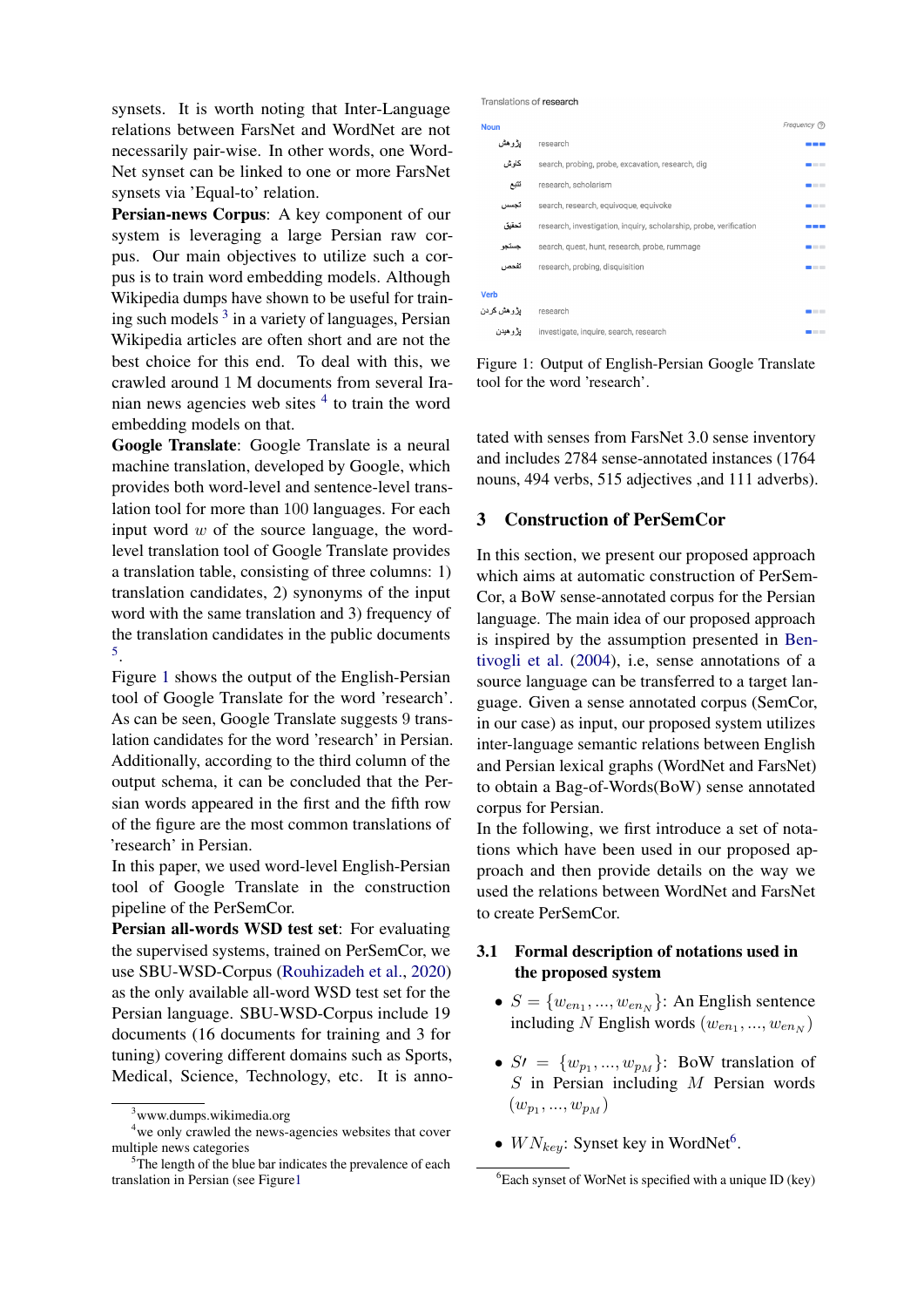synsets. It is worth noting that Inter-Language relations between FarsNet and WordNet are not necessarily pair-wise. In other words, one Word-Net synset can be linked to one or more FarsNet synsets via 'Equal-to' relation.

Persian-news Corpus: A key component of our system is leveraging a large Persian raw corpus. Our main objectives to utilize such a corpus is to train word embedding models. Although Wikipedia dumps have shown to be useful for train-ing such models<sup>[3](#page-2-0)</sup> in a variety of languages, Persian Wikipedia articles are often short and are not the best choice for this end. To deal with this, we crawled around 1 M documents from several Iranian news agencies web sites  $4$  to train the word embedding models on that.

Google Translate: Google Translate is a neural machine translation, developed by Google, which provides both word-level and sentence-level translation tool for more than 100 languages. For each input word  $w$  of the source language, the wordlevel translation tool of Google Translate provides a translation table, consisting of three columns: 1) translation candidates, 2) synonyms of the input word with the same translation and 3) frequency of the translation candidates in the public documents [5](#page-2-2) .

Figure [1](#page-2-3) shows the output of the English-Persian tool of Google Translate for the word 'research'. As can be seen, Google Translate suggests 9 translation candidates for the word 'research' in Persian. Additionally, according to the third column of the output schema, it can be concluded that the Persian words appeared in the first and the fifth row of the figure are the most common translations of 'research' in Persian.

In this paper, we used word-level English-Persian tool of Google Translate in the construction pipeline of the PerSemCor.

Persian all-words WSD test set: For evaluating the supervised systems, trained on PerSemCor, we use SBU-WSD-Corpus [\(Rouhizadeh et al.,](#page-9-3) [2020\)](#page-9-3) as the only available all-word WSD test set for the Persian language. SBU-WSD-Corpus include 19 documents (16 documents for training and 3 for tuning) covering different domains such as Sports, Medical, Science, Technology, etc. It is anno<span id="page-2-3"></span>Translations of research

| <b>Noun</b> |                                                                    | Frequency ?  |
|-------------|--------------------------------------------------------------------|--------------|
| بؤوهش       | research                                                           |              |
| کاو ش       | search, probing, probe, excavation, research, dig                  |              |
| تثبع        | research, scholarism                                               | $\mathbf{r}$ |
| تجسس        | search, research, equivoque, equivoke                              |              |
| تحقيق       | research, investigation, inquiry, scholarship, probe, verification |              |
| جستجو       | search, quest, hunt, research, probe, rummage                      |              |
| تفحص        | research, probing, disquisition                                    |              |
| <b>Verb</b> |                                                                    |              |
| يژوهش کردن  | research                                                           |              |
| يؤوهيدن     | investigate, inquire, search, research                             |              |

Figure 1: Output of English-Persian Google Translate tool for the word 'research'.

tated with senses from FarsNet 3.0 sense inventory and includes 2784 sense-annotated instances (1764 nouns, 494 verbs, 515 adjectives ,and 111 adverbs).

#### 3 Construction of PerSemCor

In this section, we present our proposed approach which aims at automatic construction of PerSem-Cor, a BoW sense-annotated corpus for the Persian language. The main idea of our proposed approach is inspired by the assumption presented in [Ben](#page-7-1)[tivogli et al.](#page-7-1) [\(2004\)](#page-7-1), i.e, sense annotations of a source language can be transferred to a target language. Given a sense annotated corpus (SemCor, in our case) as input, our proposed system utilizes inter-language semantic relations between English and Persian lexical graphs (WordNet and FarsNet) to obtain a Bag-of-Words(BoW) sense annotated corpus for Persian.

In the following, we first introduce a set of notations which have been used in our proposed approach and then provide details on the way we used the relations between WordNet and FarsNet to create PerSemCor.

# 3.1 Formal description of notations used in the proposed system

- $S = \{w_{en_1}, ..., w_{en_N}\}\$ : An English sentence including N English words  $(w_{en_1},...,w_{en_N})$
- $S' = \{w_{p_1}, ..., w_{p_M}\}\$ : BoW translation of  $S$  in Persian including  $M$  Persian words  $(w_{p_1},...,w_{p_M})$
- $WN_{key}$ : Synset key in WordNet<sup>[6](#page-2-4)</sup>.

<span id="page-2-1"></span><span id="page-2-0"></span><sup>&</sup>lt;sup>3</sup>www.dumps.wikimedia.org

<sup>&</sup>lt;sup>4</sup>we only crawled the news-agencies websites that cover multiple news categories

<span id="page-2-2"></span> $5$ The length of the blue bar indicates the prevalence of each translation in Persian (see Figur[e1](#page-2-3)

<span id="page-2-4"></span> $6$ Each synset of WorNet is specified with a unique ID (key)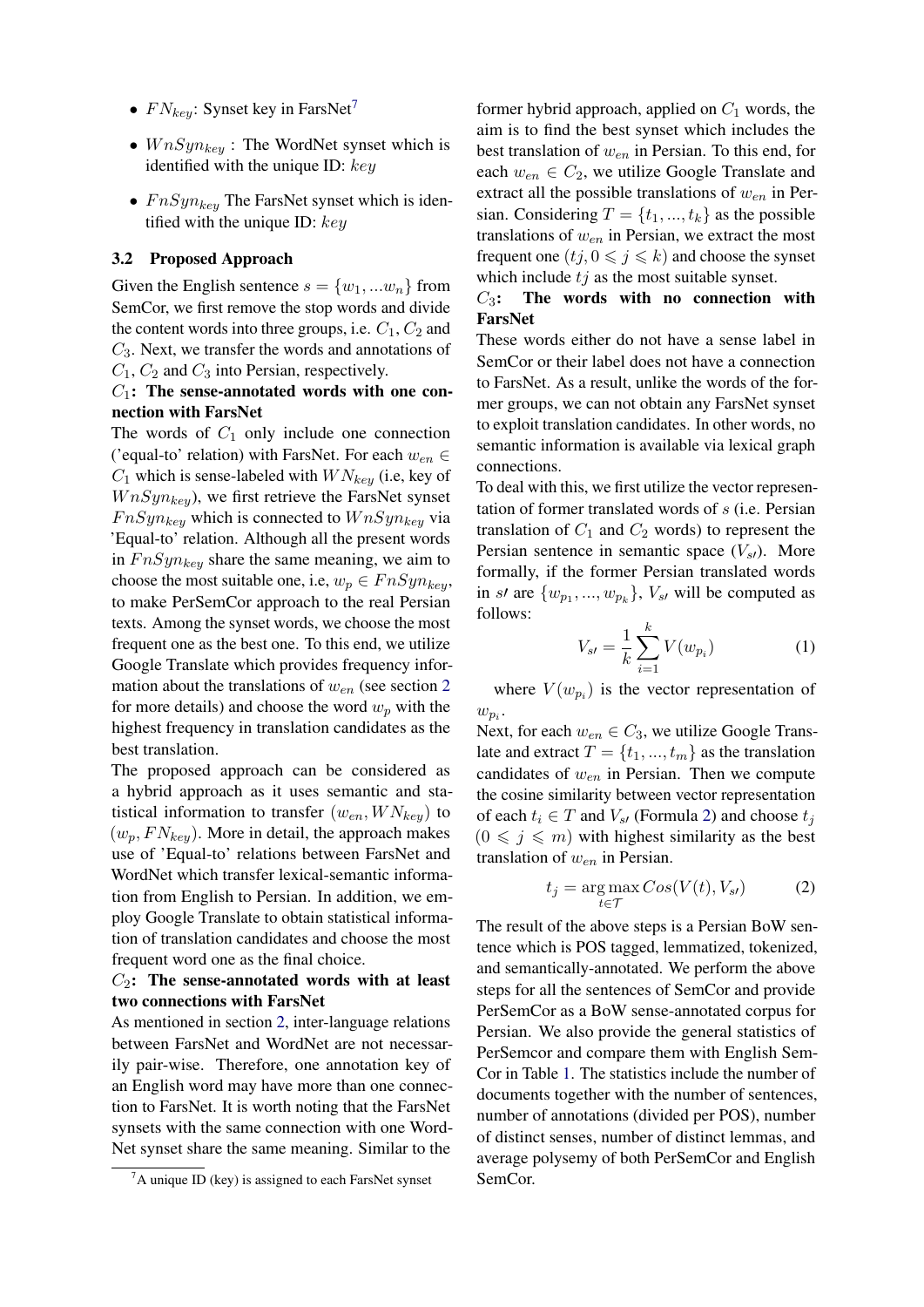- $FN_{key}$ : Synset key in FarsNet<sup>[7](#page-3-0)</sup>
- $W nSy n_{key}$ : The WordNet synset which is identified with the unique ID:  $key$
- $F nSyn_{key}$  The FarsNet synset which is identified with the unique ID:  $key$

#### 3.2 Proposed Approach

Given the English sentence  $s = \{w_1, ... w_n\}$  from SemCor, we first remove the stop words and divide the content words into three groups, i.e.  $C_1$ ,  $C_2$  and  $C_3$ . Next, we transfer the words and annotations of  $C_1$ ,  $C_2$  and  $C_3$  into Persian, respectively.

#### $C_1$ : The sense-annotated words with one connection with FarsNet

The words of  $C_1$  only include one connection ('equal-to' relation) with FarsNet. For each  $w_{en} \in$  $C_1$  which is sense-labeled with  $WN_{key}$  (i.e, key of  $W nSyn_{key}$ , we first retrieve the FarsNet synset  $F nSyn_{key}$  which is connected to  $W nSyn_{key}$  via 'Equal-to' relation. Although all the present words in  $F nSyn_{key}$  share the same meaning, we aim to choose the most suitable one, i.e,  $w_p \in F \cdot nSym_{key}$ , to make PerSemCor approach to the real Persian texts. Among the synset words, we choose the most frequent one as the best one. To this end, we utilize Google Translate which provides frequency information about the translations of  $w_{en}$  (see section [2](#page-1-2)) for more details) and choose the word  $w_n$  with the highest frequency in translation candidates as the best translation.

The proposed approach can be considered as a hybrid approach as it uses semantic and statistical information to transfer  $(w_{en}, W N_{kev})$  to  $(w_p, FN_{key})$ . More in detail, the approach makes use of 'Equal-to' relations between FarsNet and WordNet which transfer lexical-semantic information from English to Persian. In addition, we employ Google Translate to obtain statistical information of translation candidates and choose the most frequent word one as the final choice.

# $C_2$ : The sense-annotated words with at least two connections with FarsNet

As mentioned in section [2,](#page-1-2) inter-language relations between FarsNet and WordNet are not necessarily pair-wise. Therefore, one annotation key of an English word may have more than one connection to FarsNet. It is worth noting that the FarsNet synsets with the same connection with one Word-Net synset share the same meaning. Similar to the

former hybrid approach, applied on  $C_1$  words, the aim is to find the best synset which includes the best translation of  $w_{en}$  in Persian. To this end, for each  $w_{en} \in C_2$ , we utilize Google Translate and extract all the possible translations of  $w_{en}$  in Persian. Considering  $T = \{t_1, ..., t_k\}$  as the possible translations of  $w_{en}$  in Persian, we extract the most frequent one  $(tj, 0 \leq j \leq k)$  and choose the synset which include  $tj$  as the most suitable synset.

## $C_3$ : The words with no connection with FarsNet

These words either do not have a sense label in SemCor or their label does not have a connection to FarsNet. As a result, unlike the words of the former groups, we can not obtain any FarsNet synset to exploit translation candidates. In other words, no semantic information is available via lexical graph connections.

To deal with this, we first utilize the vector representation of former translated words of s (i.e. Persian translation of  $C_1$  and  $C_2$  words) to represent the Persian sentence in semantic space  $(V_{st})$ . More formally, if the former Persian translated words in st are  $\{w_{p_1},...,w_{p_k}\}, V_{s}$  will be computed as follows:

$$
V_{s'} = \frac{1}{k} \sum_{i=1}^{k} V(w_{p_i})
$$
 (1)

where  $V(w_{p_i})$  is the vector representation of  $w_{p_i}$ .

Next, for each  $w_{en} \in C_3$ , we utilize Google Translate and extract  $T = \{t_1, ..., t_m\}$  as the translation candidates of  $w_{en}$  in Persian. Then we compute the cosine similarity between vector representation of each  $t_i \in T$  and  $V_{st}$  (Formula [2\)](#page-3-1) and choose  $t_i$  $(0 \leq j \leq m)$  with highest similarity as the best translation of  $w_{en}$  in Persian.

<span id="page-3-1"></span>
$$
t_j = \underset{t \in \mathcal{T}}{\arg \max} \, Cos(V(t), V_{s'}) \tag{2}
$$

The result of the above steps is a Persian BoW sentence which is POS tagged, lemmatized, tokenized, and semantically-annotated. We perform the above steps for all the sentences of SemCor and provide PerSemCor as a BoW sense-annotated corpus for Persian. We also provide the general statistics of PerSemcor and compare them with English Sem-Cor in Table [1.](#page-4-0) The statistics include the number of documents together with the number of sentences, number of annotations (divided per POS), number of distinct senses, number of distinct lemmas, and average polysemy of both PerSemCor and English SemCor.

<span id="page-3-0"></span> ${}^{7}$ A unique ID (key) is assigned to each FarsNet synset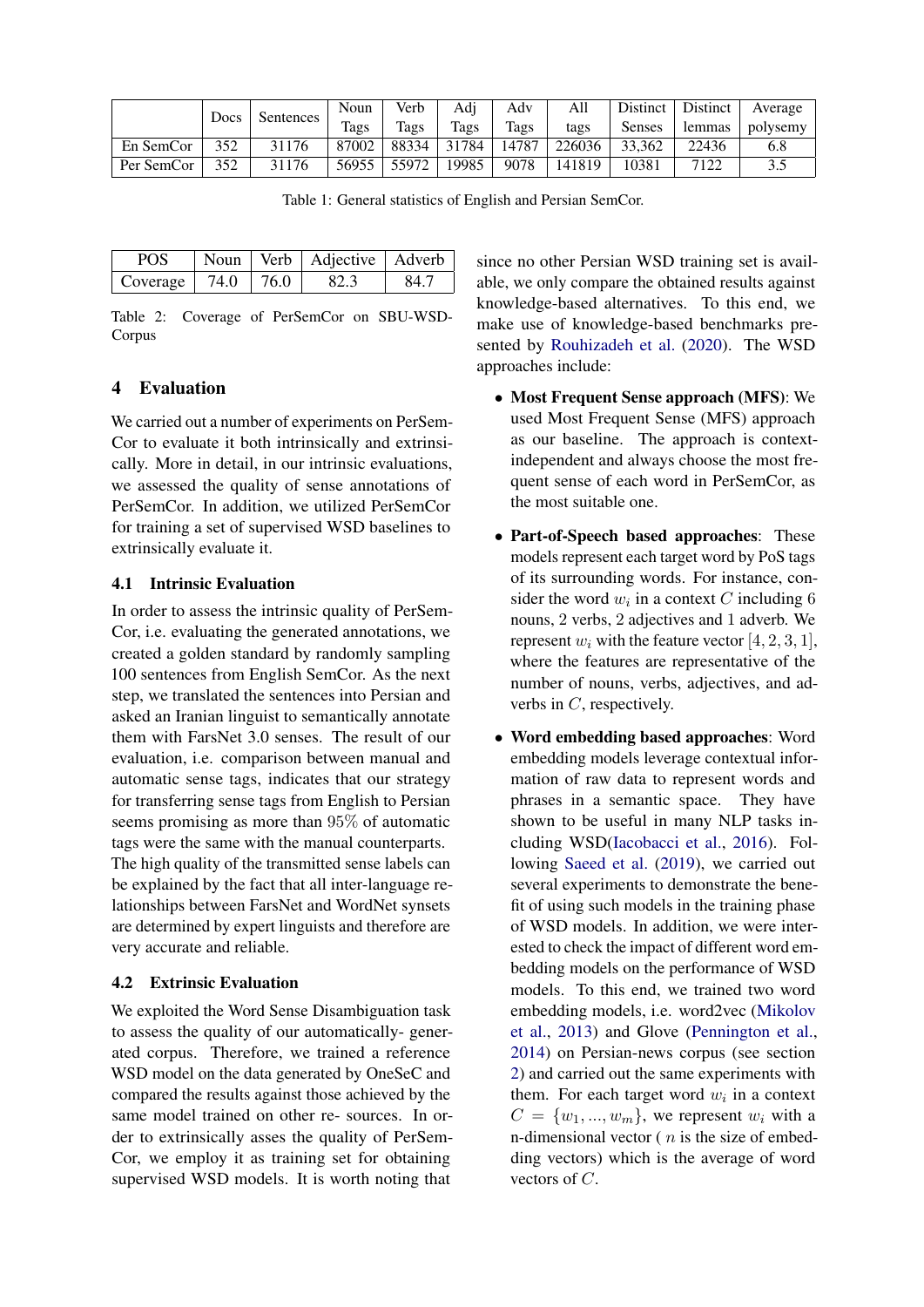<span id="page-4-0"></span>

|            | Docs | Sentences | Noun  | Verb  | Adj   | Adv   | All    | Distinct | Distinct | Average                |
|------------|------|-----------|-------|-------|-------|-------|--------|----------|----------|------------------------|
|            |      |           | Tags  | Tags  | Tags  | Tags  | tags   | Senses   | lemmas   | polysemy               |
| En SemCor  | 352  | 31176     | 87002 | 88334 | 31784 | 14787 | 226036 | 33.362   | 22436    | 6.8                    |
| Per SemCor | 352  | 31176     | 56955 | 55972 | 19985 | 9078  | 141819 | 10381    | 7122     | 3 <sup>c</sup><br>ر. ر |

Table 1: General statistics of English and Persian SemCor.

<span id="page-4-1"></span>

| POS      |      |      | Noun   Verb   Adjective   Adverb |      |
|----------|------|------|----------------------------------|------|
| Coverage | 74.0 | 76.0 | 82.3                             | 84.7 |

Table 2: Coverage of PerSemCor on SBU-WSD-Corpus

# 4 Evaluation

We carried out a number of experiments on PerSem-Cor to evaluate it both intrinsically and extrinsically. More in detail, in our intrinsic evaluations, we assessed the quality of sense annotations of PerSemCor. In addition, we utilized PerSemCor for training a set of supervised WSD baselines to extrinsically evaluate it.

#### 4.1 Intrinsic Evaluation

In order to assess the intrinsic quality of PerSem-Cor, i.e. evaluating the generated annotations, we created a golden standard by randomly sampling 100 sentences from English SemCor. As the next step, we translated the sentences into Persian and asked an Iranian linguist to semantically annotate them with FarsNet 3.0 senses. The result of our evaluation, i.e. comparison between manual and automatic sense tags, indicates that our strategy for transferring sense tags from English to Persian seems promising as more than 95% of automatic tags were the same with the manual counterparts. The high quality of the transmitted sense labels can be explained by the fact that all inter-language relationships between FarsNet and WordNet synsets are determined by expert linguists and therefore are very accurate and reliable.

## 4.2 Extrinsic Evaluation

We exploited the Word Sense Disambiguation task to assess the quality of our automatically- generated corpus. Therefore, we trained a reference WSD model on the data generated by OneSeC and compared the results against those achieved by the same model trained on other re- sources. In order to extrinsically asses the quality of PerSem-Cor, we employ it as training set for obtaining supervised WSD models. It is worth noting that

since no other Persian WSD training set is available, we only compare the obtained results against knowledge-based alternatives. To this end, we make use of knowledge-based benchmarks presented by [Rouhizadeh et al.](#page-9-3) [\(2020\)](#page-9-3). The WSD approaches include:

- Most Frequent Sense approach (MFS): We used Most Frequent Sense (MFS) approach as our baseline. The approach is contextindependent and always choose the most frequent sense of each word in PerSemCor, as the most suitable one.
- Part-of-Speech based approaches: These models represent each target word by PoS tags of its surrounding words. For instance, consider the word  $w_i$  in a context C including 6 nouns, 2 verbs, 2 adjectives and 1 adverb. We represent  $w_i$  with the feature vector [4, 2, 3, 1], where the features are representative of the number of nouns, verbs, adjectives, and adverbs in C, respectively.
- Word embedding based approaches: Word embedding models leverage contextual information of raw data to represent words and phrases in a semantic space. They have shown to be useful in many NLP tasks including WSD[\(Iacobacci et al.,](#page-8-14) [2016\)](#page-8-14). Following [Saeed et al.](#page-9-9) [\(2019\)](#page-9-9), we carried out several experiments to demonstrate the benefit of using such models in the training phase of WSD models. In addition, we were interested to check the impact of different word embedding models on the performance of WSD models. To this end, we trained two word embedding models, i.e. word2vec [\(Mikolov](#page-8-15) [et al.,](#page-8-15) [2013\)](#page-8-15) and Glove [\(Pennington et al.,](#page-8-16) [2014\)](#page-8-16) on Persian-news corpus (see section [2\)](#page-1-2) and carried out the same experiments with them. For each target word  $w_i$  in a context  $C = \{w_1, ..., w_m\}$ , we represent  $w_i$  with a n-dimensional vector  $(n$  is the size of embedding vectors) which is the average of word vectors of C.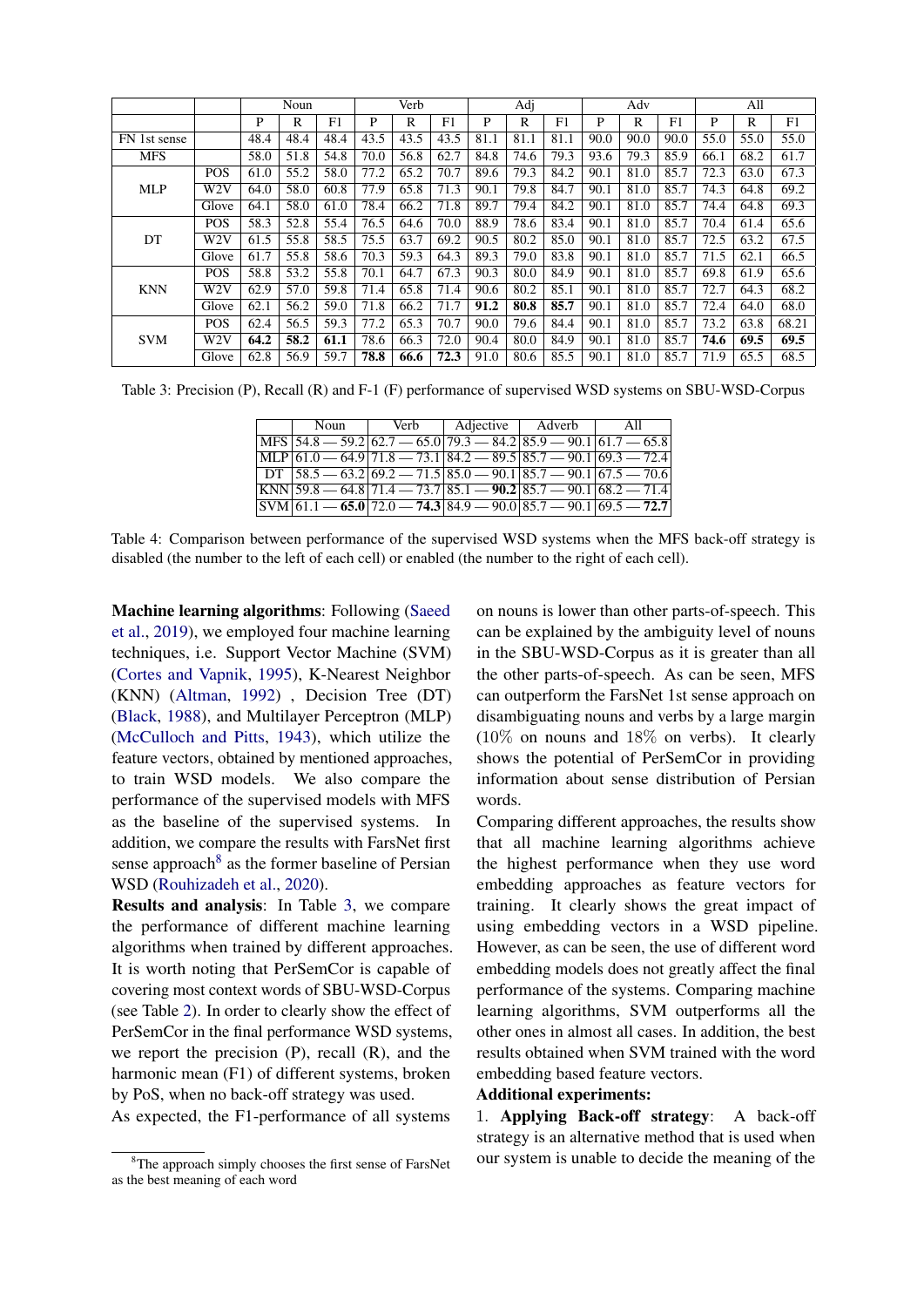<span id="page-5-1"></span>

|              |                  |      | Noun |      |      | Verb |      |      | Adj  |                |      | Adv  |      |      | All  |       |
|--------------|------------------|------|------|------|------|------|------|------|------|----------------|------|------|------|------|------|-------|
|              |                  | P    | R    | F1   | P    | R    | F1   | P    | R    | F <sub>1</sub> | P    | R    | F1   | P    | R    | F1    |
| FN 1st sense |                  | 48.4 | 48.4 | 48.4 | 43.5 | 43.5 | 43.5 | 81.1 | 81.1 | 81.1           | 90.0 | 90.0 | 90.0 | 55.0 | 55.0 | 55.0  |
| <b>MFS</b>   |                  | 58.0 | 51.8 | 54.8 | 70.0 | 56.8 | 62.7 | 84.8 | 74.6 | 79.3           | 93.6 | 79.3 | 85.9 | 66.1 | 68.2 | 61.7  |
|              | <b>POS</b>       | 61.0 | 55.2 | 58.0 | 77.2 | 65.2 | 70.7 | 89.6 | 79.3 | 84.2           | 90.1 | 81.0 | 85.7 | 72.3 | 63.0 | 67.3  |
| <b>MLP</b>   | W <sub>2</sub> V | 64.0 | 58.0 | 60.8 | 77.9 | 65.8 | 71.3 | 90.1 | 79.8 | 84.7           | 90.1 | 81.0 | 85.7 | 74.3 | 64.8 | 69.2  |
|              | Glove            | 64.1 | 58.0 | 61.0 | 78.4 | 66.2 | 71.8 | 89.7 | 79.4 | 84.2           | 90.1 | 81.0 | 85.7 | 74.4 | 64.8 | 69.3  |
|              | <b>POS</b>       | 58.3 | 52.8 | 55.4 | 76.5 | 64.6 | 70.0 | 88.9 | 78.6 | 83.4           | 90.1 | 81.0 | 85.7 | 70.4 | 61.4 | 65.6  |
| DT           | W <sub>2</sub> V | 61.5 | 55.8 | 58.5 | 75.5 | 63.7 | 69.2 | 90.5 | 80.2 | 85.0           | 90.1 | 81.0 | 85.7 | 72.5 | 63.2 | 67.5  |
|              | Glove            | 61.7 | 55.8 | 58.6 | 70.3 | 59.3 | 64.3 | 89.3 | 79.0 | 83.8           | 90.1 | 81.0 | 85.7 | 71.5 | 62.1 | 66.5  |
|              | <b>POS</b>       | 58.8 | 53.2 | 55.8 | 70.1 | 64.7 | 67.3 | 90.3 | 80.0 | 84.9           | 90.1 | 81.0 | 85.7 | 69.8 | 61.9 | 65.6  |
| <b>KNN</b>   | W <sub>2</sub> V | 62.9 | 57.0 | 59.8 | 71.4 | 65.8 | 71.4 | 90.6 | 80.2 | 85.1           | 90.1 | 81.0 | 85.7 | 72.7 | 64.3 | 68.2  |
|              | Glove            | 62.1 | 56.2 | 59.0 | 71.8 | 66.2 | 71.7 | 91.2 | 80.8 | 85.7           | 90.1 | 81.0 | 85.7 | 72.4 | 64.0 | 68.0  |
| <b>SVM</b>   | <b>POS</b>       | 62.4 | 56.5 | 59.3 | 77.2 | 65.3 | 70.7 | 90.0 | 79.6 | 84.4           | 90.1 | 81.0 | 85.7 | 73.2 | 63.8 | 68.21 |
|              | W <sub>2</sub> V | 64.2 | 58.2 | 61.1 | 78.6 | 66.3 | 72.0 | 90.4 | 80.0 | 84.9           | 90.1 | 81.0 | 85.7 | 74.6 | 69.5 | 69.5  |
|              | Glove            | 62.8 | 56.9 | 59.7 | 78.8 | 66.6 | 72.3 | 91.0 | 80.6 | 85.5           | 90.1 | 81.0 | 85.7 | 71.9 | 65.5 | 68.5  |

<span id="page-5-2"></span>Table 3: Precision (P), Recall (R) and F-1 (F) performance of supervised WSD systems on SBU-WSD-Corpus

| Noun                                                                                  | Verb |  | Adjective   Adverb | All |  |
|---------------------------------------------------------------------------------------|------|--|--------------------|-----|--|
| $ MFS $ 54.8 $-$ 59.2 $ 62.7 - 65.0 79.3 - 84.2 85.9 - 90.1 61.7 - 65.8 $             |      |  |                    |     |  |
| $[MLP 61.0 - 64.9 71.8 - 73.1 84.2 - 89.5 85.7 - 90.1 69.3 - 72.4]$                   |      |  |                    |     |  |
| $DT$ 58.5 $-$ 63.2 69.2 $-$ 71.5 85.0 $-$ 90.1 85.7 $-$ 90.1 67.5 $-$ 70.6            |      |  |                    |     |  |
| $ KNN $ 59.8 $-$ 64.8   71.4 $-$ 73.7   85.1 $-$ 90.2   85.7 $-$ 90.1   68.2 $-$ 71.4 |      |  |                    |     |  |
| $\overline{\text{SVM } 61.1 - 65.0}$ 72.0 - 74.3 84.9 - 90.0 85.7 - 90.1 69.5 - 72.7  |      |  |                    |     |  |

Table 4: Comparison between performance of the supervised WSD systems when the MFS back-off strategy is disabled (the number to the left of each cell) or enabled (the number to the right of each cell).

Machine learning algorithms: Following [\(Saeed](#page-9-9) [et al.,](#page-9-9) [2019\)](#page-9-9), we employed four machine learning techniques, i.e. Support Vector Machine (SVM) [\(Cortes and Vapnik,](#page-8-17) [1995\)](#page-8-17), K-Nearest Neighbor (KNN) [\(Altman,](#page-7-2) [1992\)](#page-7-2) , Decision Tree (DT) [\(Black,](#page-7-3) [1988\)](#page-7-3), and Multilayer Perceptron (MLP) [\(McCulloch and Pitts,](#page-8-18) [1943\)](#page-8-18), which utilize the feature vectors, obtained by mentioned approaches, to train WSD models. We also compare the performance of the supervised models with MFS as the baseline of the supervised systems. In addition, we compare the results with FarsNet first sense approach<sup>[8](#page-5-0)</sup> as the former baseline of Persian WSD [\(Rouhizadeh et al.,](#page-9-3) [2020\)](#page-9-3).

Results and analysis: In Table [3,](#page-5-1) we compare the performance of different machine learning algorithms when trained by different approaches. It is worth noting that PerSemCor is capable of covering most context words of SBU-WSD-Corpus (see Table [2\)](#page-4-1). In order to clearly show the effect of PerSemCor in the final performance WSD systems, we report the precision  $(P)$ , recall  $(R)$ , and the harmonic mean (F1) of different systems, broken by PoS, when no back-off strategy was used.

As expected, the F1-performance of all systems

on nouns is lower than other parts-of-speech. This can be explained by the ambiguity level of nouns in the SBU-WSD-Corpus as it is greater than all the other parts-of-speech. As can be seen, MFS can outperform the FarsNet 1st sense approach on disambiguating nouns and verbs by a large margin (10% on nouns and 18% on verbs). It clearly shows the potential of PerSemCor in providing information about sense distribution of Persian words.

Comparing different approaches, the results show that all machine learning algorithms achieve the highest performance when they use word embedding approaches as feature vectors for training. It clearly shows the great impact of using embedding vectors in a WSD pipeline. However, as can be seen, the use of different word embedding models does not greatly affect the final performance of the systems. Comparing machine learning algorithms, SVM outperforms all the other ones in almost all cases. In addition, the best results obtained when SVM trained with the word embedding based feature vectors.

## Additional experiments:

1. Applying Back-off strategy: A back-off strategy is an alternative method that is used when our system is unable to decide the meaning of the

<span id="page-5-0"></span><sup>&</sup>lt;sup>8</sup>The approach simply chooses the first sense of FarsNet as the best meaning of each word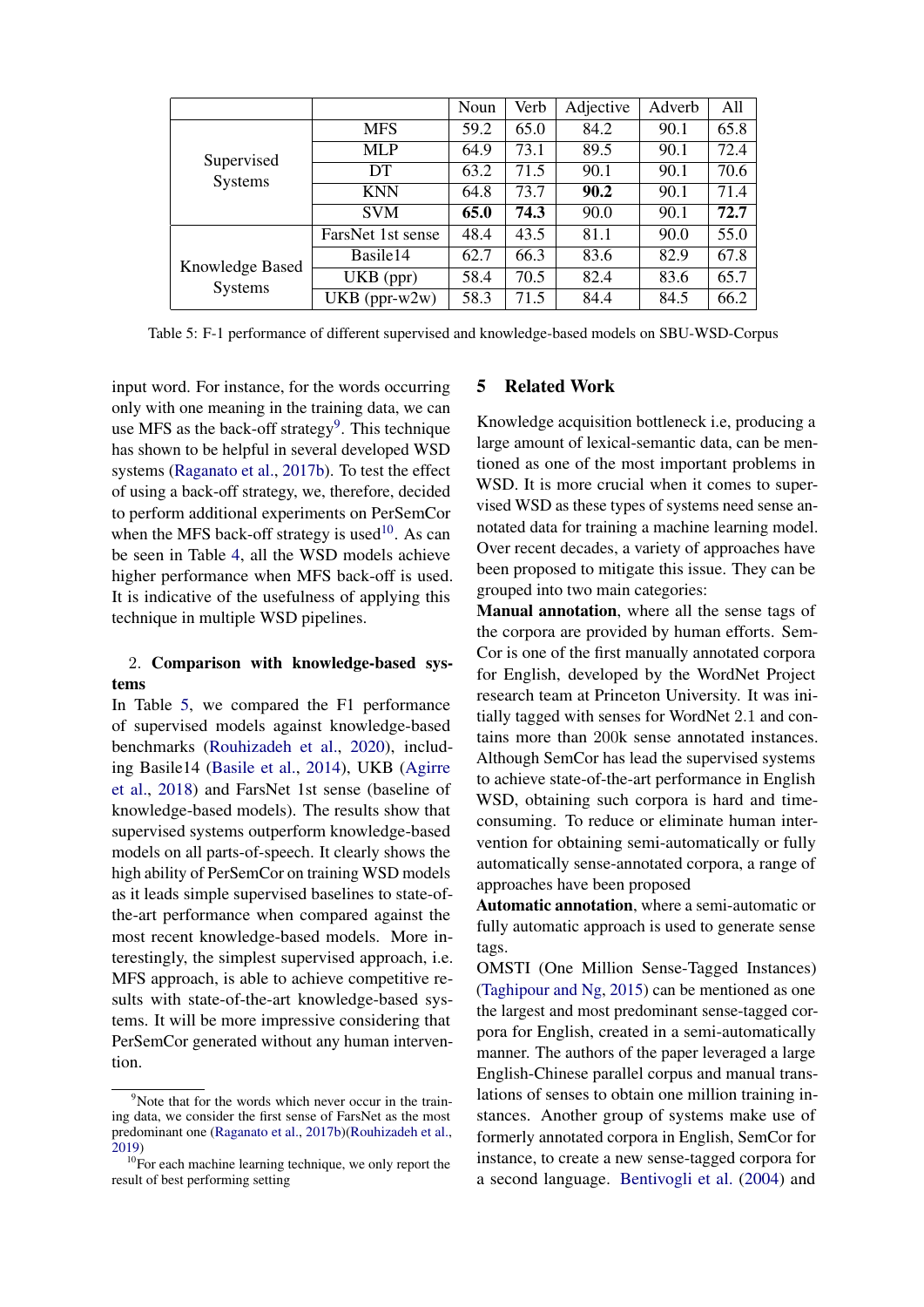<span id="page-6-2"></span>

|                 |                   | Noun | Verb | Adjective | Adverb | All  |
|-----------------|-------------------|------|------|-----------|--------|------|
|                 | <b>MFS</b>        | 59.2 | 65.0 | 84.2      | 90.1   | 65.8 |
| Supervised      | <b>MLP</b>        | 64.9 | 73.1 | 89.5      | 90.1   | 72.4 |
| <b>Systems</b>  | DT.               | 63.2 | 71.5 | 90.1      | 90.1   | 70.6 |
|                 | <b>KNN</b>        | 64.8 | 73.7 | 90.2      | 90.1   | 71.4 |
|                 | <b>SVM</b>        | 65.0 | 74.3 | 90.0      | 90.1   | 72.7 |
|                 | FarsNet 1st sense | 48.4 | 43.5 | 81.1      | 90.0   | 55.0 |
| Knowledge Based | Basile14          | 62.7 | 66.3 | 83.6      | 82.9   | 67.8 |
| Systems         | UKB (ppr)         | 58.4 | 70.5 | 82.4      | 83.6   | 65.7 |
|                 | $UKB (ppr-w2w)$   | 58.3 | 71.5 | 84.4      | 84.5   | 66.2 |

Table 5: F-1 performance of different supervised and knowledge-based models on SBU-WSD-Corpus

input word. For instance, for the words occurring only with one meaning in the training data, we can use MFS as the back-off strategy<sup>[9](#page-6-0)</sup>. This technique has shown to be helpful in several developed WSD systems [\(Raganato et al.,](#page-8-1) [2017b\)](#page-8-1). To test the effect of using a back-off strategy, we, therefore, decided to perform additional experiments on PerSemCor when the MFS back-off strategy is used<sup>[10](#page-6-1)</sup>. As can be seen in Table [4,](#page-5-2) all the WSD models achieve higher performance when MFS back-off is used. It is indicative of the usefulness of applying this technique in multiple WSD pipelines.

# 2. Comparison with knowledge-based systems

In Table [5,](#page-6-2) we compared the F1 performance of supervised models against knowledge-based benchmarks [\(Rouhizadeh et al.,](#page-9-3) [2020\)](#page-9-3), including Basile14 [\(Basile et al.,](#page-7-4) [2014\)](#page-7-4), UKB [\(Agirre](#page-7-5) [et al.,](#page-7-5) [2018\)](#page-7-5) and FarsNet 1st sense (baseline of knowledge-based models). The results show that supervised systems outperform knowledge-based models on all parts-of-speech. It clearly shows the high ability of PerSemCor on training WSD models as it leads simple supervised baselines to state-ofthe-art performance when compared against the most recent knowledge-based models. More interestingly, the simplest supervised approach, i.e. MFS approach, is able to achieve competitive results with state-of-the-art knowledge-based systems. It will be more impressive considering that PerSemCor generated without any human intervention.

# 5 Related Work

Knowledge acquisition bottleneck i.e, producing a large amount of lexical-semantic data, can be mentioned as one of the most important problems in WSD. It is more crucial when it comes to supervised WSD as these types of systems need sense annotated data for training a machine learning model. Over recent decades, a variety of approaches have been proposed to mitigate this issue. They can be grouped into two main categories:

Manual annotation, where all the sense tags of the corpora are provided by human efforts. Sem-Cor is one of the first manually annotated corpora for English, developed by the WordNet Project research team at Princeton University. It was initially tagged with senses for WordNet 2.1 and contains more than 200k sense annotated instances. Although SemCor has lead the supervised systems to achieve state-of-the-art performance in English WSD, obtaining such corpora is hard and timeconsuming. To reduce or eliminate human intervention for obtaining semi-automatically or fully automatically sense-annotated corpora, a range of approaches have been proposed

Automatic annotation, where a semi-automatic or fully automatic approach is used to generate sense tags.

OMSTI (One Million Sense-Tagged Instances) [\(Taghipour and Ng,](#page-9-11) [2015\)](#page-9-11) can be mentioned as one the largest and most predominant sense-tagged corpora for English, created in a semi-automatically manner. The authors of the paper leveraged a large English-Chinese parallel corpus and manual translations of senses to obtain one million training instances. Another group of systems make use of formerly annotated corpora in English, SemCor for instance, to create a new sense-tagged corpora for a second language. [Bentivogli et al.](#page-7-1) [\(2004\)](#page-7-1) and

<span id="page-6-0"></span><sup>&</sup>lt;sup>9</sup>Note that for the words which never occur in the training data, we consider the first sense of FarsNet as the most predominant one [\(Raganato et al.,](#page-8-1) [2017b\)](#page-8-1)[\(Rouhizadeh et al.,](#page-9-10) [2019\)](#page-9-10)

<span id="page-6-1"></span><sup>&</sup>lt;sup>10</sup>For each machine learning technique, we only report the result of best performing setting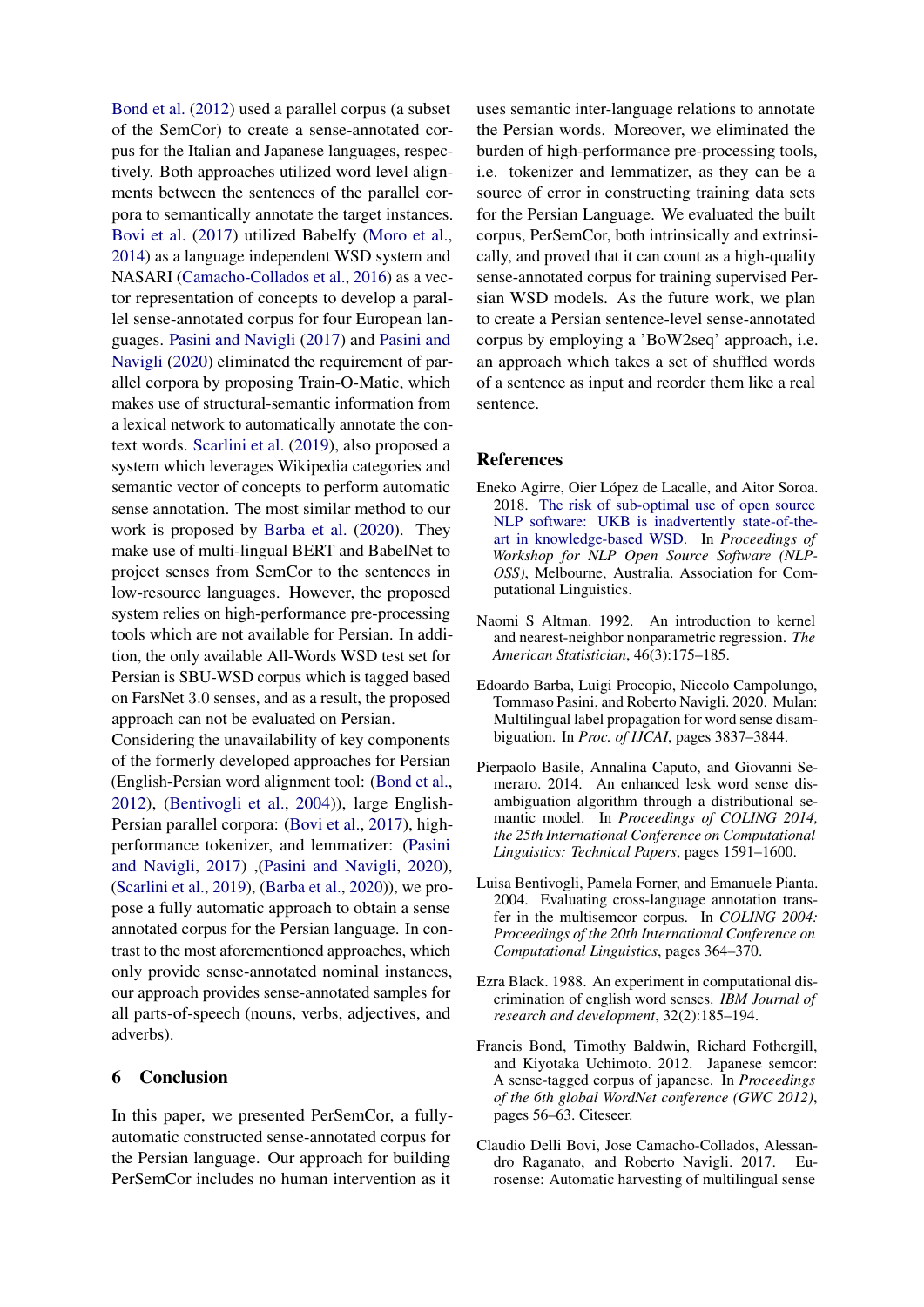[Bond et al.](#page-7-6) [\(2012\)](#page-7-6) used a parallel corpus (a subset of the SemCor) to create a sense-annotated corpus for the Italian and Japanese languages, respectively. Both approaches utilized word level alignments between the sentences of the parallel corpora to semantically annotate the target instances. [Bovi et al.](#page-7-7) [\(2017\)](#page-7-7) utilized Babelfy [\(Moro et al.,](#page-8-19) [2014\)](#page-8-19) as a language independent WSD system and NASARI [\(Camacho-Collados et al.,](#page-8-20) [2016\)](#page-8-20) as a vector representation of concepts to develop a parallel sense-annotated corpus for four European languages. [Pasini and Navigli](#page-8-7) [\(2017\)](#page-8-7) and [Pasini and](#page-8-21) [Navigli](#page-8-21) [\(2020\)](#page-8-21) eliminated the requirement of parallel corpora by proposing Train-O-Matic, which makes use of structural-semantic information from a lexical network to automatically annotate the context words. [Scarlini et al.](#page-9-1) [\(2019\)](#page-9-1), also proposed a system which leverages Wikipedia categories and semantic vector of concepts to perform automatic sense annotation. The most similar method to our work is proposed by [Barba et al.](#page-7-0) [\(2020\)](#page-7-0). They make use of multi-lingual BERT and BabelNet to project senses from SemCor to the sentences in low-resource languages. However, the proposed system relies on high-performance pre-processing tools which are not available for Persian. In addition, the only available All-Words WSD test set for Persian is SBU-WSD corpus which is tagged based on FarsNet 3.0 senses, and as a result, the proposed approach can not be evaluated on Persian.

Considering the unavailability of key components of the formerly developed approaches for Persian (English-Persian word alignment tool: [\(Bond et al.,](#page-7-6) [2012\)](#page-7-6), [\(Bentivogli et al.,](#page-7-1) [2004\)](#page-7-1)), large English-Persian parallel corpora: [\(Bovi et al.,](#page-7-7) [2017\)](#page-7-7), highperformance tokenizer, and lemmatizer: [\(Pasini](#page-8-7) [and Navigli,](#page-8-7) [2017\)](#page-8-7) ,[\(Pasini and Navigli,](#page-8-21) [2020\)](#page-8-21), [\(Scarlini et al.,](#page-9-1) [2019\)](#page-9-1), [\(Barba et al.,](#page-7-0) [2020\)](#page-7-0)), we propose a fully automatic approach to obtain a sense annotated corpus for the Persian language. In contrast to the most aforementioned approaches, which only provide sense-annotated nominal instances, our approach provides sense-annotated samples for all parts-of-speech (nouns, verbs, adjectives, and adverbs).

# 6 Conclusion

In this paper, we presented PerSemCor, a fullyautomatic constructed sense-annotated corpus for the Persian language. Our approach for building PerSemCor includes no human intervention as it

uses semantic inter-language relations to annotate the Persian words. Moreover, we eliminated the burden of high-performance pre-processing tools, i.e. tokenizer and lemmatizer, as they can be a source of error in constructing training data sets for the Persian Language. We evaluated the built corpus, PerSemCor, both intrinsically and extrinsically, and proved that it can count as a high-quality sense-annotated corpus for training supervised Persian WSD models. As the future work, we plan to create a Persian sentence-level sense-annotated corpus by employing a 'BoW2seq' approach, i.e. an approach which takes a set of shuffled words of a sentence as input and reorder them like a real sentence.

#### References

- <span id="page-7-5"></span>Eneko Agirre, Oier López de Lacalle, and Aitor Soroa. 2018. [The risk of sub-optimal use of open source](https://doi.org/10.18653/v1/W18-2505) [NLP software: UKB is inadvertently state-of-the](https://doi.org/10.18653/v1/W18-2505)[art in knowledge-based WSD.](https://doi.org/10.18653/v1/W18-2505) In *Proceedings of Workshop for NLP Open Source Software (NLP-OSS)*, Melbourne, Australia. Association for Computational Linguistics.
- <span id="page-7-2"></span>Naomi S Altman. 1992. An introduction to kernel and nearest-neighbor nonparametric regression. *The American Statistician*, 46(3):175–185.
- <span id="page-7-0"></span>Edoardo Barba, Luigi Procopio, Niccolo Campolungo, Tommaso Pasini, and Roberto Navigli. 2020. Mulan: Multilingual label propagation for word sense disambiguation. In *Proc. of IJCAI*, pages 3837–3844.
- <span id="page-7-4"></span>Pierpaolo Basile, Annalina Caputo, and Giovanni Semeraro. 2014. An enhanced lesk word sense disambiguation algorithm through a distributional semantic model. In *Proceedings of COLING 2014, the 25th International Conference on Computational Linguistics: Technical Papers*, pages 1591–1600.
- <span id="page-7-1"></span>Luisa Bentivogli, Pamela Forner, and Emanuele Pianta. 2004. Evaluating cross-language annotation transfer in the multisemcor corpus. In *COLING 2004: Proceedings of the 20th International Conference on Computational Linguistics*, pages 364–370.
- <span id="page-7-3"></span>Ezra Black. 1988. An experiment in computational discrimination of english word senses. *IBM Journal of research and development*, 32(2):185–194.
- <span id="page-7-6"></span>Francis Bond, Timothy Baldwin, Richard Fothergill, and Kiyotaka Uchimoto. 2012. Japanese semcor: A sense-tagged corpus of japanese. In *Proceedings of the 6th global WordNet conference (GWC 2012)*, pages 56–63. Citeseer.
- <span id="page-7-7"></span>Claudio Delli Bovi, Jose Camacho-Collados, Alessandro Raganato, and Roberto Navigli. 2017. Eurosense: Automatic harvesting of multilingual sense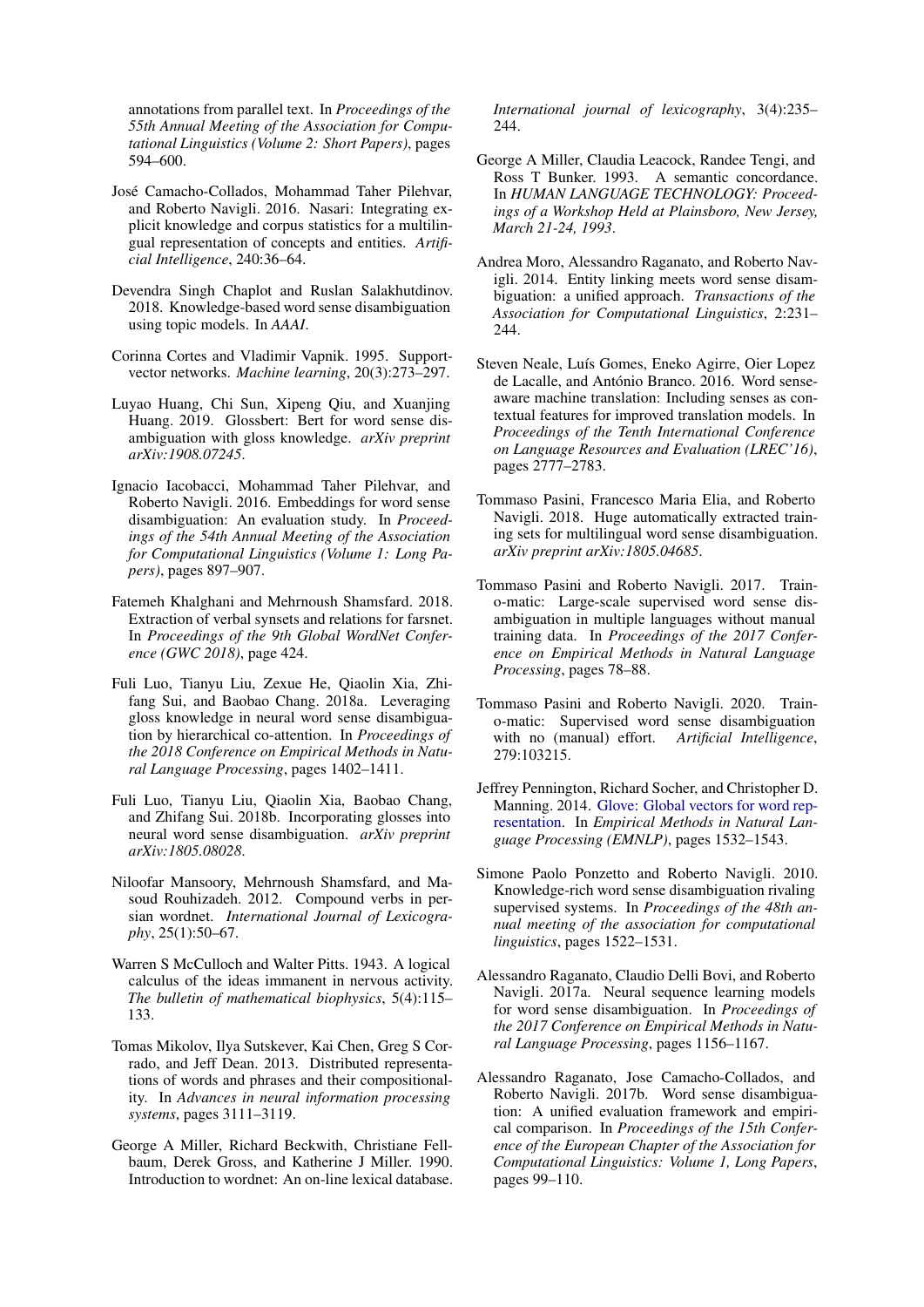annotations from parallel text. In *Proceedings of the 55th Annual Meeting of the Association for Computational Linguistics (Volume 2: Short Papers)*, pages 594–600.

- <span id="page-8-20"></span>Jose Camacho-Collados, Mohammad Taher Pilehvar, ´ and Roberto Navigli. 2016. Nasari: Integrating explicit knowledge and corpus statistics for a multilingual representation of concepts and entities. *Artificial Intelligence*, 240:36–64.
- <span id="page-8-5"></span>Devendra Singh Chaplot and Ruslan Salakhutdinov. 2018. Knowledge-based word sense disambiguation using topic models. In *AAAI*.
- <span id="page-8-17"></span>Corinna Cortes and Vladimir Vapnik. 1995. Supportvector networks. *Machine learning*, 20(3):273–297.
- <span id="page-8-9"></span>Luyao Huang, Chi Sun, Xipeng Qiu, and Xuanjing Huang. 2019. Glossbert: Bert for word sense disambiguation with gloss knowledge. *arXiv preprint arXiv:1908.07245*.
- <span id="page-8-14"></span>Ignacio Iacobacci, Mohammad Taher Pilehvar, and Roberto Navigli. 2016. Embeddings for word sense disambiguation: An evaluation study. In *Proceedings of the 54th Annual Meeting of the Association for Computational Linguistics (Volume 1: Long Papers)*, pages 897–907.
- <span id="page-8-13"></span>Fatemeh Khalghani and Mehrnoush Shamsfard. 2018. Extraction of verbal synsets and relations for farsnet. In *Proceedings of the 9th Global WordNet Conference (GWC 2018)*, page 424.
- <span id="page-8-11"></span>Fuli Luo, Tianyu Liu, Zexue He, Qiaolin Xia, Zhifang Sui, and Baobao Chang. 2018a. Leveraging gloss knowledge in neural word sense disambiguation by hierarchical co-attention. In *Proceedings of the 2018 Conference on Empirical Methods in Natural Language Processing*, pages 1402–1411.
- <span id="page-8-10"></span>Fuli Luo, Tianyu Liu, Qiaolin Xia, Baobao Chang, and Zhifang Sui. 2018b. Incorporating glosses into neural word sense disambiguation. *arXiv preprint arXiv:1805.08028*.
- <span id="page-8-12"></span>Niloofar Mansoory, Mehrnoush Shamsfard, and Masoud Rouhizadeh. 2012. Compound verbs in persian wordnet. *International Journal of Lexicography*, 25(1):50–67.
- <span id="page-8-18"></span>Warren S McCulloch and Walter Pitts. 1943. A logical calculus of the ideas immanent in nervous activity. *The bulletin of mathematical biophysics*, 5(4):115– 133.
- <span id="page-8-15"></span>Tomas Mikolov, Ilya Sutskever, Kai Chen, Greg S Corrado, and Jeff Dean. 2013. Distributed representations of words and phrases and their compositionality. In *Advances in neural information processing systems*, pages 3111–3119.
- <span id="page-8-2"></span>George A Miller, Richard Beckwith, Christiane Fellbaum, Derek Gross, and Katherine J Miller. 1990. Introduction to wordnet: An on-line lexical database.

*International journal of lexicography*, 3(4):235– 244.

- <span id="page-8-6"></span>George A Miller, Claudia Leacock, Randee Tengi, and Ross T Bunker. 1993. A semantic concordance. In *HUMAN LANGUAGE TECHNOLOGY: Proceedings of a Workshop Held at Plainsboro, New Jersey, March 21-24, 1993*.
- <span id="page-8-19"></span>Andrea Moro, Alessandro Raganato, and Roberto Navigli. 2014. Entity linking meets word sense disambiguation: a unified approach. *Transactions of the Association for Computational Linguistics*, 2:231– 244.
- <span id="page-8-0"></span>Steven Neale, Luís Gomes, Eneko Agirre, Oier Lopez de Lacalle, and António Branco. 2016. Word senseaware machine translation: Including senses as contextual features for improved translation models. In *Proceedings of the Tenth International Conference on Language Resources and Evaluation (LREC'16)*, pages 2777–2783.
- <span id="page-8-8"></span>Tommaso Pasini, Francesco Maria Elia, and Roberto Navigli. 2018. Huge automatically extracted training sets for multilingual word sense disambiguation. *arXiv preprint arXiv:1805.04685*.
- <span id="page-8-7"></span>Tommaso Pasini and Roberto Navigli. 2017. Traino-matic: Large-scale supervised word sense disambiguation in multiple languages without manual training data. In *Proceedings of the 2017 Conference on Empirical Methods in Natural Language Processing*, pages 78–88.
- <span id="page-8-21"></span>Tommaso Pasini and Roberto Navigli. 2020. Traino-matic: Supervised word sense disambiguation with no (manual) effort. *Artificial Intelligence*, 279:103215.
- <span id="page-8-16"></span>Jeffrey Pennington, Richard Socher, and Christopher D. Manning. 2014. [Glove: Global vectors for word rep](http://www.aclweb.org/anthology/D14-1162)[resentation.](http://www.aclweb.org/anthology/D14-1162) In *Empirical Methods in Natural Language Processing (EMNLP)*, pages 1532–1543.
- <span id="page-8-3"></span>Simone Paolo Ponzetto and Roberto Navigli. 2010. Knowledge-rich word sense disambiguation rivaling supervised systems. In *Proceedings of the 48th annual meeting of the association for computational linguistics*, pages 1522–1531.
- <span id="page-8-4"></span>Alessandro Raganato, Claudio Delli Bovi, and Roberto Navigli. 2017a. Neural sequence learning models for word sense disambiguation. In *Proceedings of the 2017 Conference on Empirical Methods in Natural Language Processing*, pages 1156–1167.
- <span id="page-8-1"></span>Alessandro Raganato, Jose Camacho-Collados, and Roberto Navigli. 2017b. Word sense disambiguation: A unified evaluation framework and empirical comparison. In *Proceedings of the 15th Conference of the European Chapter of the Association for Computational Linguistics: Volume 1, Long Papers*, pages 99–110.